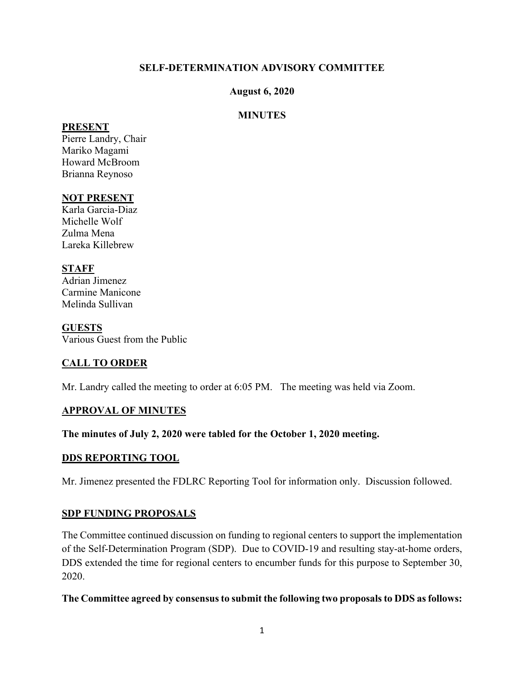## **SELF-DETERMINATION ADVISORY COMMITTEE**

#### **August 6, 2020**

## **MINUTES**

#### **PRESENT**

Pierre Landry, Chair Mariko Magami Howard McBroom Brianna Reynoso

# **NOT PRESENT**

Karla Garcia-Diaz Michelle Wolf Zulma Mena Lareka Killebrew

# **STAFF**

Adrian Jimenez Carmine Manicone Melinda Sullivan

#### **GUESTS**

Various Guest from the Public

# **CALL TO ORDER**

Mr. Landry called the meeting to order at 6:05 PM. The meeting was held via Zoom.

### **APPROVAL OF MINUTES**

### **The minutes of July 2, 2020 were tabled for the October 1, 2020 meeting.**

### **DDS REPORTING TOOL**

Mr. Jimenez presented the FDLRC Reporting Tool for information only. Discussion followed.

#### **SDP FUNDING PROPOSALS**

The Committee continued discussion on funding to regional centers to support the implementation of the Self-Determination Program (SDP). Due to COVID-19 and resulting stay-at-home orders, DDS extended the time for regional centers to encumber funds for this purpose to September 30, 2020.

#### **The Committee agreed by consensus to submit the following two proposals to DDS as follows:**